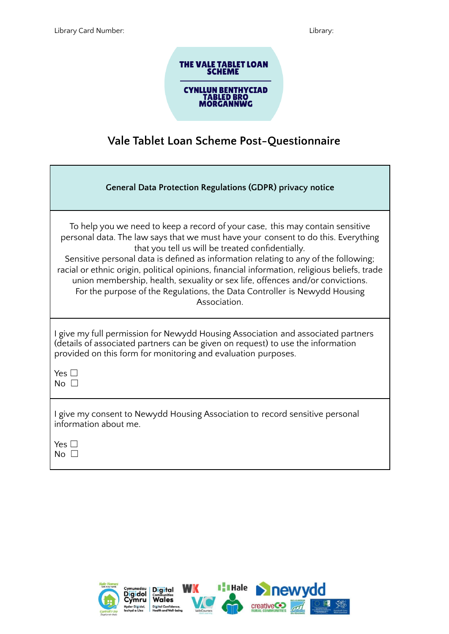

## **Vale Tablet Loan Scheme Post-Questionnaire**

| <b>General Data Protection Regulations (GDPR) privacy notice</b>                                                                                                                                                                                                                                                                                                                                                                                                                                                                                                                            |
|---------------------------------------------------------------------------------------------------------------------------------------------------------------------------------------------------------------------------------------------------------------------------------------------------------------------------------------------------------------------------------------------------------------------------------------------------------------------------------------------------------------------------------------------------------------------------------------------|
| To help you we need to keep a record of your case, this may contain sensitive<br>personal data. The law says that we must have your consent to do this. Everything<br>that you tell us will be treated confidentially.<br>Sensitive personal data is defined as information relating to any of the following;<br>racial or ethnic origin, political opinions, financial information, religious beliefs, trade<br>union membership, health, sexuality or sex life, offences and/or convictions.<br>For the purpose of the Regulations, the Data Controller is Newydd Housing<br>Association. |
| I give my full permission for Newydd Housing Association and associated partners<br>(details of associated partners can be given on request) to use the information<br>provided on this form for monitoring and evaluation purposes.<br>Yes $\square$<br>No $\square$                                                                                                                                                                                                                                                                                                                       |
| I give my consent to Newydd Housing Association to record sensitive personal<br>information about me.<br>Yes $\square$<br>No $\square$                                                                                                                                                                                                                                                                                                                                                                                                                                                      |

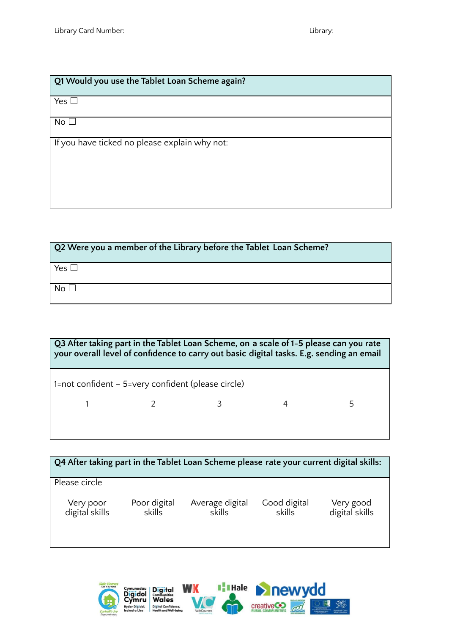## **Q1 Would you use the Tablet Loan Scheme again?**

 $Yes \Box$ 

 $No<sub>1</sub>$ 

If you have ticked no please explain why not:

| Q2 Were you a member of the Library before the Tablet Loan Scheme? |
|--------------------------------------------------------------------|
| Yes $\Box$                                                         |
| No $\Box$                                                          |

| Q3 After taking part in the Tablet Loan Scheme, on a scale of 1-5 please can you rate<br>your overall level of confidence to carry out basic digital tasks. E.g. sending an email |  |  |  |   |  |  |  |
|-----------------------------------------------------------------------------------------------------------------------------------------------------------------------------------|--|--|--|---|--|--|--|
| 1=not confident $-$ 5=very confident (please circle)                                                                                                                              |  |  |  |   |  |  |  |
|                                                                                                                                                                                   |  |  |  | 5 |  |  |  |
|                                                                                                                                                                                   |  |  |  |   |  |  |  |

| Q4 After taking part in the Tablet Loan Scheme please rate your current digital skills: |                        |                           |                        |                             |  |  |
|-----------------------------------------------------------------------------------------|------------------------|---------------------------|------------------------|-----------------------------|--|--|
| Please circle                                                                           |                        |                           |                        |                             |  |  |
| Very poor<br>digital skills                                                             | Poor digital<br>skills | Average digital<br>skills | Good digital<br>skills | Very good<br>digital skills |  |  |

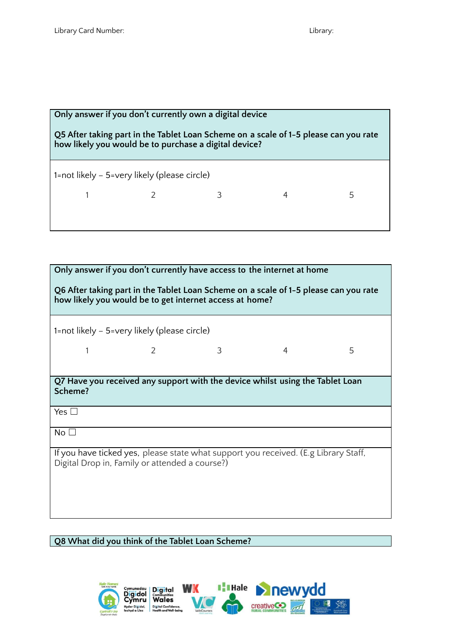## **Only answer if you don't currently own a digital device Q5 After taking part in the Tablet Loan Scheme on a scale of 1-5 please can you rate how likely you would be to purchase a digital device?** 1=not likely – 5=very likely (please circle) 1 2 3 4 5

| Only answer if you don't currently have access to the internet at home                                                                |                                              |   |                                                                               |   |  |  |
|---------------------------------------------------------------------------------------------------------------------------------------|----------------------------------------------|---|-------------------------------------------------------------------------------|---|--|--|
| Q6 After taking part in the Tablet Loan Scheme on a scale of 1-5 please can you rate                                                  |                                              |   |                                                                               |   |  |  |
| how likely you would be to get internet access at home?                                                                               |                                              |   |                                                                               |   |  |  |
|                                                                                                                                       |                                              |   |                                                                               |   |  |  |
|                                                                                                                                       |                                              |   |                                                                               |   |  |  |
|                                                                                                                                       | 1=not likely - 5=very likely (please circle) |   |                                                                               |   |  |  |
| 1                                                                                                                                     | 2                                            | 3 | $\overline{4}$                                                                | 5 |  |  |
|                                                                                                                                       |                                              |   |                                                                               |   |  |  |
|                                                                                                                                       |                                              |   |                                                                               |   |  |  |
|                                                                                                                                       |                                              |   | Q7 Have you received any support with the device whilst using the Tablet Loan |   |  |  |
| Scheme?                                                                                                                               |                                              |   |                                                                               |   |  |  |
| Yes $\square$                                                                                                                         |                                              |   |                                                                               |   |  |  |
|                                                                                                                                       |                                              |   |                                                                               |   |  |  |
| No <sub>1</sub>                                                                                                                       |                                              |   |                                                                               |   |  |  |
|                                                                                                                                       |                                              |   |                                                                               |   |  |  |
| If you have ticked yes, please state what support you received. (E.g Library Staff,<br>Digital Drop in, Family or attended a course?) |                                              |   |                                                                               |   |  |  |
|                                                                                                                                       |                                              |   |                                                                               |   |  |  |
|                                                                                                                                       |                                              |   |                                                                               |   |  |  |
|                                                                                                                                       |                                              |   |                                                                               |   |  |  |
|                                                                                                                                       |                                              |   |                                                                               |   |  |  |
|                                                                                                                                       |                                              |   |                                                                               |   |  |  |

**Q8 What did you think of the Tablet Loan Scheme?**